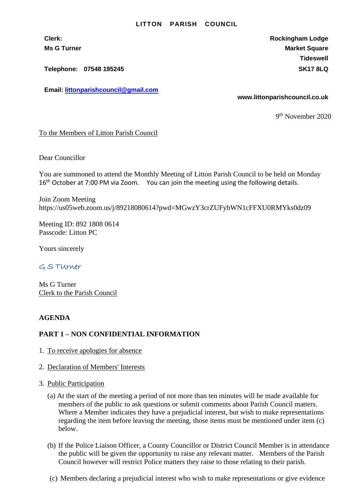#### **LITTON PARISH COUNCIL**

**Clerk: Rockingham Lodge Ms G Turner Market Square** Market Square Market Square Market Square **Tideswell**

**Telephone: 07548 195245 SK17 8LQ**

**Email: [littonparishcouncil@gmail.com](mailto:littonparishcouncil@gmail.com)**

**www.littonparishcouncil.co.uk**

9 th November 2020

### To the Members of Litton Parish Council

Dear Councillor

You are summoned to attend the Monthly Meeting of Litton Parish Council to be held on Monday 16<sup>th</sup> October at 7:00 PM via Zoom. You can join the meeting using the following details.

Join Zoom Meeting https://us05web.zoom.us/j/89218080614?pwd=MGwzY3crZUFybWN1cFFXU0RMYks0dz09

Meeting ID: 892 1808 0614 Passcode: Litton PC

Yours sincerely

# G S TUrner

Ms G Turner Clerk to the Parish Council

## **AGENDA**

### **PART 1 – NON CONFIDENTIAL INFORMATION**

- 1. To receive apologies for absence
- 2. Declaration of Members' Interests
- 3. Public Participation
	- (a) At the start of the meeting a period of not more than ten minutes will be made available for members of the public to ask questions or submit comments about Parish Council matters. Where a Member indicates they have a prejudicial interest, but wish to make representations regarding the item before leaving the meeting, those items must be mentioned under item (c) below.
	- (b) If the Police Liaison Officer, a County Councillor or District Council Member is in attendance the public will be given the opportunity to raise any relevant matter. Members of the Parish Council however will restrict Police matters they raise to those relating to their parish.
	- (c) Members declaring a prejudicial interest who wish to make representations or give evidence